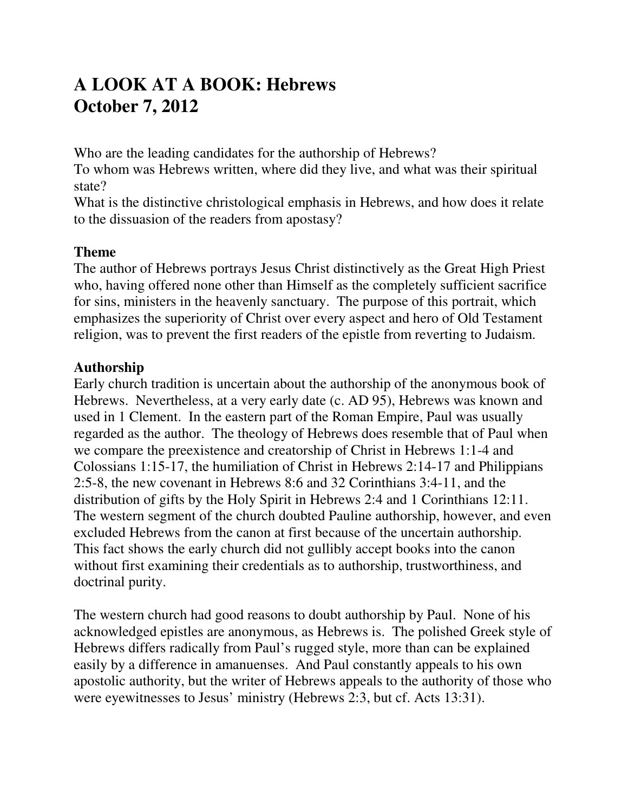# **A LOOK AT A BOOK: Hebrews October 7, 2012**

Who are the leading candidates for the authorship of Hebrews?

To whom was Hebrews written, where did they live, and what was their spiritual state?

What is the distinctive christological emphasis in Hebrews, and how does it relate to the dissuasion of the readers from apostasy?

# **Theme**

The author of Hebrews portrays Jesus Christ distinctively as the Great High Priest who, having offered none other than Himself as the completely sufficient sacrifice for sins, ministers in the heavenly sanctuary. The purpose of this portrait, which emphasizes the superiority of Christ over every aspect and hero of Old Testament religion, was to prevent the first readers of the epistle from reverting to Judaism.

### **Authorship**

Early church tradition is uncertain about the authorship of the anonymous book of Hebrews. Nevertheless, at a very early date (c. AD 95), Hebrews was known and used in 1 Clement. In the eastern part of the Roman Empire, Paul was usually regarded as the author. The theology of Hebrews does resemble that of Paul when we compare the preexistence and creatorship of Christ in Hebrews 1:1-4 and Colossians 1:15-17, the humiliation of Christ in Hebrews 2:14-17 and Philippians 2:5-8, the new covenant in Hebrews 8:6 and 32 Corinthians 3:4-11, and the distribution of gifts by the Holy Spirit in Hebrews 2:4 and 1 Corinthians 12:11. The western segment of the church doubted Pauline authorship, however, and even excluded Hebrews from the canon at first because of the uncertain authorship. This fact shows the early church did not gullibly accept books into the canon without first examining their credentials as to authorship, trustworthiness, and doctrinal purity.

The western church had good reasons to doubt authorship by Paul. None of his acknowledged epistles are anonymous, as Hebrews is. The polished Greek style of Hebrews differs radically from Paul's rugged style, more than can be explained easily by a difference in amanuenses. And Paul constantly appeals to his own apostolic authority, but the writer of Hebrews appeals to the authority of those who were eyewitnesses to Jesus' ministry (Hebrews 2:3, but cf. Acts 13:31).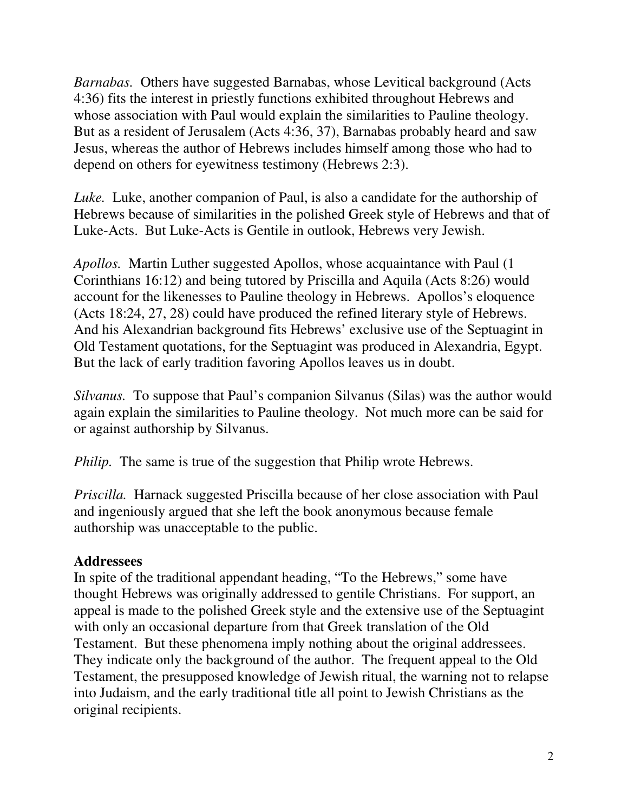*Barnabas.* Others have suggested Barnabas, whose Levitical background (Acts 4:36) fits the interest in priestly functions exhibited throughout Hebrews and whose association with Paul would explain the similarities to Pauline theology. But as a resident of Jerusalem (Acts 4:36, 37), Barnabas probably heard and saw Jesus, whereas the author of Hebrews includes himself among those who had to depend on others for eyewitness testimony (Hebrews 2:3).

*Luke.* Luke, another companion of Paul, is also a candidate for the authorship of Hebrews because of similarities in the polished Greek style of Hebrews and that of Luke-Acts. But Luke-Acts is Gentile in outlook, Hebrews very Jewish.

*Apollos.* Martin Luther suggested Apollos, whose acquaintance with Paul (1 Corinthians 16:12) and being tutored by Priscilla and Aquila (Acts 8:26) would account for the likenesses to Pauline theology in Hebrews. Apollos's eloquence (Acts 18:24, 27, 28) could have produced the refined literary style of Hebrews. And his Alexandrian background fits Hebrews' exclusive use of the Septuagint in Old Testament quotations, for the Septuagint was produced in Alexandria, Egypt. But the lack of early tradition favoring Apollos leaves us in doubt.

*Silvanus.* To suppose that Paul's companion Silvanus (Silas) was the author would again explain the similarities to Pauline theology. Not much more can be said for or against authorship by Silvanus.

*Philip.* The same is true of the suggestion that Philip wrote Hebrews.

*Priscilla.* Harnack suggested Priscilla because of her close association with Paul and ingeniously argued that she left the book anonymous because female authorship was unacceptable to the public.

#### **Addressees**

In spite of the traditional appendant heading, "To the Hebrews," some have thought Hebrews was originally addressed to gentile Christians. For support, an appeal is made to the polished Greek style and the extensive use of the Septuagint with only an occasional departure from that Greek translation of the Old Testament. But these phenomena imply nothing about the original addressees. They indicate only the background of the author. The frequent appeal to the Old Testament, the presupposed knowledge of Jewish ritual, the warning not to relapse into Judaism, and the early traditional title all point to Jewish Christians as the original recipients.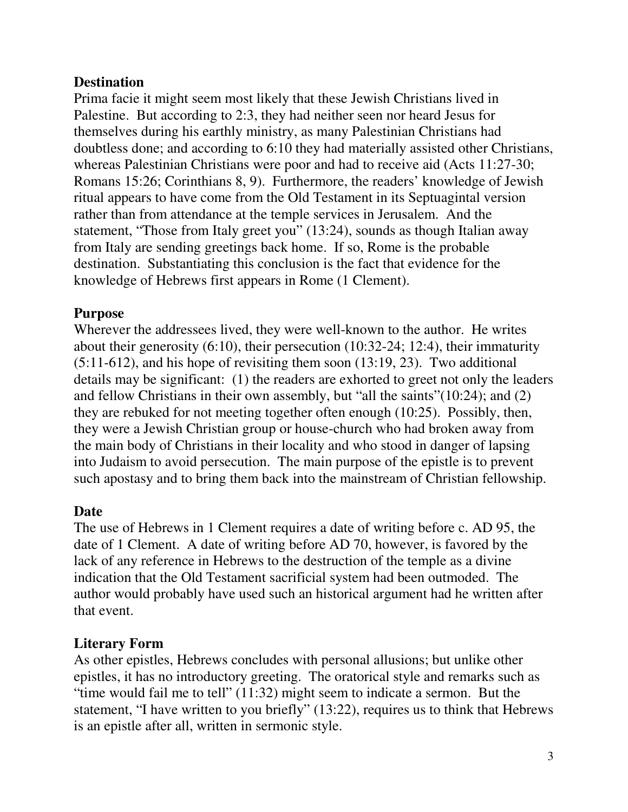### **Destination**

Prima facie it might seem most likely that these Jewish Christians lived in Palestine. But according to 2:3, they had neither seen nor heard Jesus for themselves during his earthly ministry, as many Palestinian Christians had doubtless done; and according to 6:10 they had materially assisted other Christians, whereas Palestinian Christians were poor and had to receive aid (Acts 11:27-30; Romans 15:26; Corinthians 8, 9). Furthermore, the readers' knowledge of Jewish ritual appears to have come from the Old Testament in its Septuagintal version rather than from attendance at the temple services in Jerusalem. And the statement, "Those from Italy greet you" (13:24), sounds as though Italian away from Italy are sending greetings back home. If so, Rome is the probable destination. Substantiating this conclusion is the fact that evidence for the knowledge of Hebrews first appears in Rome (1 Clement).

### **Purpose**

Wherever the addressees lived, they were well-known to the author. He writes about their generosity (6:10), their persecution (10:32-24; 12:4), their immaturity (5:11-612), and his hope of revisiting them soon (13:19, 23). Two additional details may be significant: (1) the readers are exhorted to greet not only the leaders and fellow Christians in their own assembly, but "all the saints"(10:24); and (2) they are rebuked for not meeting together often enough (10:25). Possibly, then, they were a Jewish Christian group or house-church who had broken away from the main body of Christians in their locality and who stood in danger of lapsing into Judaism to avoid persecution. The main purpose of the epistle is to prevent such apostasy and to bring them back into the mainstream of Christian fellowship.

### **Date**

The use of Hebrews in 1 Clement requires a date of writing before c. AD 95, the date of 1 Clement. A date of writing before AD 70, however, is favored by the lack of any reference in Hebrews to the destruction of the temple as a divine indication that the Old Testament sacrificial system had been outmoded. The author would probably have used such an historical argument had he written after that event.

### **Literary Form**

As other epistles, Hebrews concludes with personal allusions; but unlike other epistles, it has no introductory greeting. The oratorical style and remarks such as "time would fail me to tell" (11:32) might seem to indicate a sermon. But the statement, "I have written to you briefly" (13:22), requires us to think that Hebrews is an epistle after all, written in sermonic style.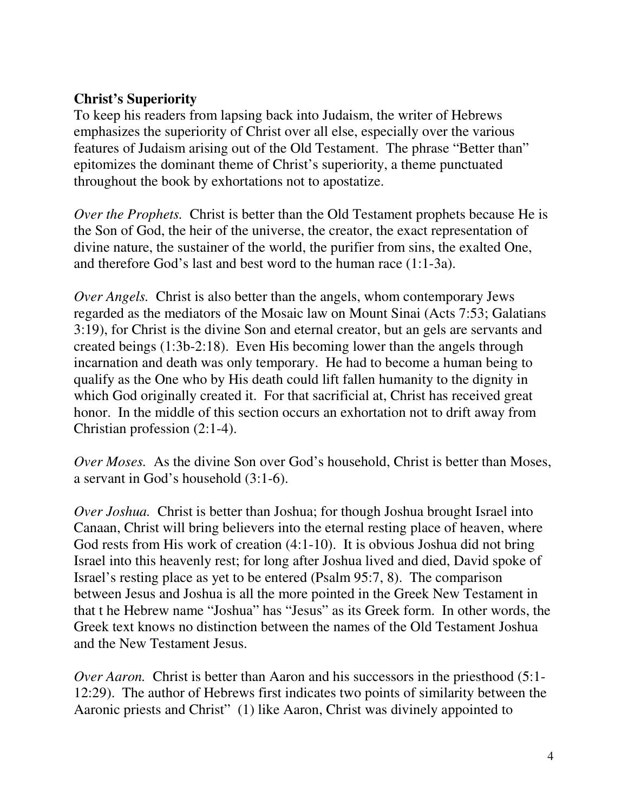### **Christ's Superiority**

To keep his readers from lapsing back into Judaism, the writer of Hebrews emphasizes the superiority of Christ over all else, especially over the various features of Judaism arising out of the Old Testament. The phrase "Better than" epitomizes the dominant theme of Christ's superiority, a theme punctuated throughout the book by exhortations not to apostatize.

*Over the Prophets.* Christ is better than the Old Testament prophets because He is the Son of God, the heir of the universe, the creator, the exact representation of divine nature, the sustainer of the world, the purifier from sins, the exalted One, and therefore God's last and best word to the human race (1:1-3a).

*Over Angels.* Christ is also better than the angels, whom contemporary Jews regarded as the mediators of the Mosaic law on Mount Sinai (Acts 7:53; Galatians 3:19), for Christ is the divine Son and eternal creator, but an gels are servants and created beings (1:3b-2:18). Even His becoming lower than the angels through incarnation and death was only temporary. He had to become a human being to qualify as the One who by His death could lift fallen humanity to the dignity in which God originally created it. For that sacrificial at, Christ has received great honor. In the middle of this section occurs an exhortation not to drift away from Christian profession (2:1-4).

*Over Moses.* As the divine Son over God's household, Christ is better than Moses, a servant in God's household (3:1-6).

*Over Joshua.* Christ is better than Joshua; for though Joshua brought Israel into Canaan, Christ will bring believers into the eternal resting place of heaven, where God rests from His work of creation (4:1-10). It is obvious Joshua did not bring Israel into this heavenly rest; for long after Joshua lived and died, David spoke of Israel's resting place as yet to be entered (Psalm 95:7, 8). The comparison between Jesus and Joshua is all the more pointed in the Greek New Testament in that t he Hebrew name "Joshua" has "Jesus" as its Greek form. In other words, the Greek text knows no distinction between the names of the Old Testament Joshua and the New Testament Jesus.

*Over Aaron.* Christ is better than Aaron and his successors in the priesthood (5:1-12:29). The author of Hebrews first indicates two points of similarity between the Aaronic priests and Christ" (1) like Aaron, Christ was divinely appointed to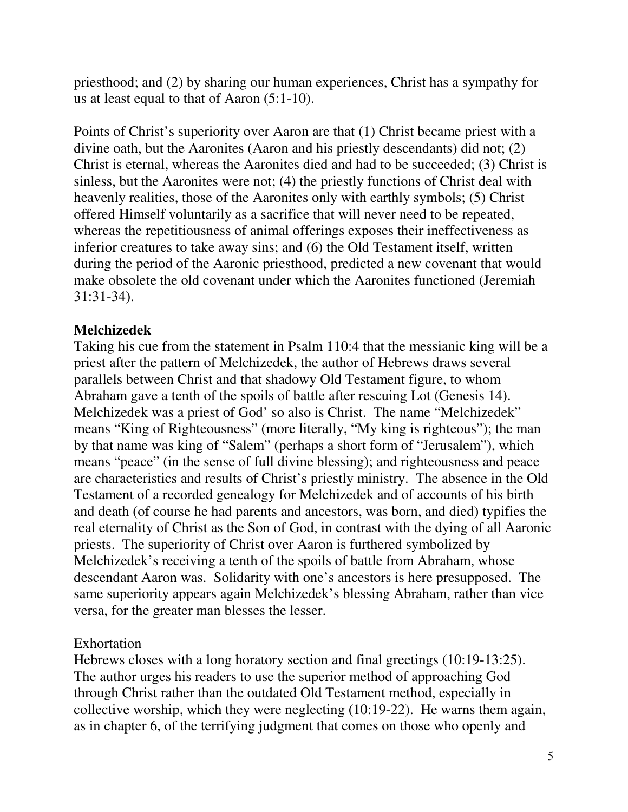priesthood; and (2) by sharing our human experiences, Christ has a sympathy for us at least equal to that of Aaron (5:1-10).

Points of Christ's superiority over Aaron are that (1) Christ became priest with a divine oath, but the Aaronites (Aaron and his priestly descendants) did not; (2) Christ is eternal, whereas the Aaronites died and had to be succeeded; (3) Christ is sinless, but the Aaronites were not; (4) the priestly functions of Christ deal with heavenly realities, those of the Aaronites only with earthly symbols; (5) Christ offered Himself voluntarily as a sacrifice that will never need to be repeated, whereas the repetitiousness of animal offerings exposes their ineffectiveness as inferior creatures to take away sins; and (6) the Old Testament itself, written during the period of the Aaronic priesthood, predicted a new covenant that would make obsolete the old covenant under which the Aaronites functioned (Jeremiah 31:31-34).

# **Melchizedek**

Taking his cue from the statement in Psalm 110:4 that the messianic king will be a priest after the pattern of Melchizedek, the author of Hebrews draws several parallels between Christ and that shadowy Old Testament figure, to whom Abraham gave a tenth of the spoils of battle after rescuing Lot (Genesis 14). Melchizedek was a priest of God' so also is Christ. The name "Melchizedek" means "King of Righteousness" (more literally, "My king is righteous"); the man by that name was king of "Salem" (perhaps a short form of "Jerusalem"), which means "peace" (in the sense of full divine blessing); and righteousness and peace are characteristics and results of Christ's priestly ministry. The absence in the Old Testament of a recorded genealogy for Melchizedek and of accounts of his birth and death (of course he had parents and ancestors, was born, and died) typifies the real eternality of Christ as the Son of God, in contrast with the dying of all Aaronic priests. The superiority of Christ over Aaron is furthered symbolized by Melchizedek's receiving a tenth of the spoils of battle from Abraham, whose descendant Aaron was. Solidarity with one's ancestors is here presupposed. The same superiority appears again Melchizedek's blessing Abraham, rather than vice versa, for the greater man blesses the lesser.

### Exhortation

Hebrews closes with a long horatory section and final greetings (10:19-13:25). The author urges his readers to use the superior method of approaching God through Christ rather than the outdated Old Testament method, especially in collective worship, which they were neglecting (10:19-22). He warns them again, as in chapter 6, of the terrifying judgment that comes on those who openly and